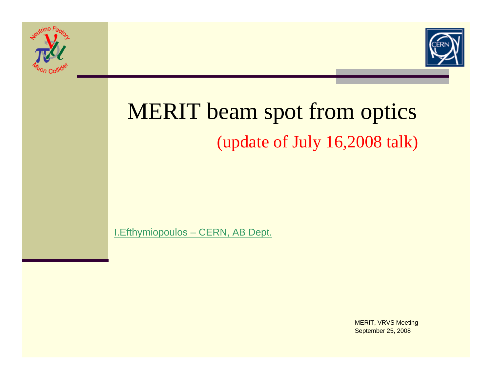



# MERIT beam spot from optics (update of July 16,2008 talk)

I.Efthymiopoulos – CERN, AB Dept.

MERIT, VRVS Meeting September 25, 2008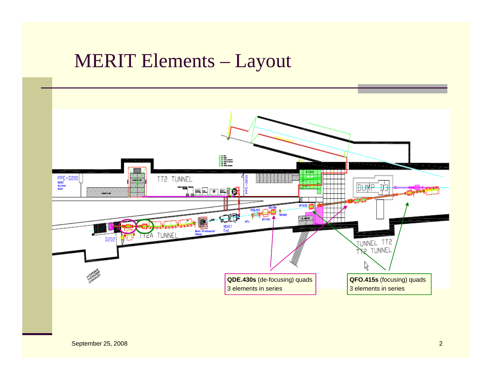### MERIT Elements – Layout

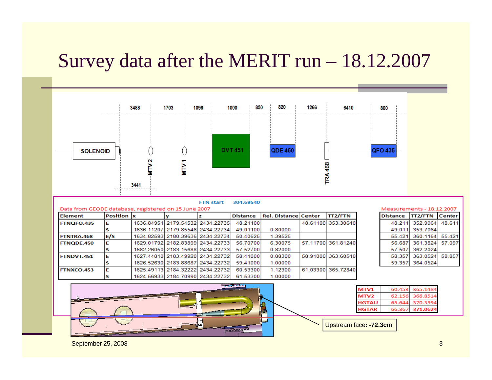## Survey data after the MERIT run – 18.12.2007



September 25, 2008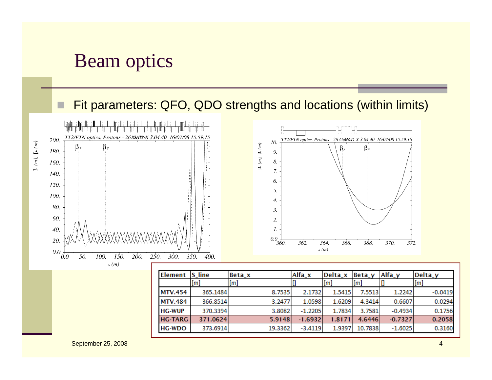#### Beam optics

#### Fit parameters: QFO, QDO strengths and locations (within limits)



19.3362

1.9397

 $-3.4119$ 

10.7838

 $-1.6025$ 

**HG-WDO** 

373.6914

0.3160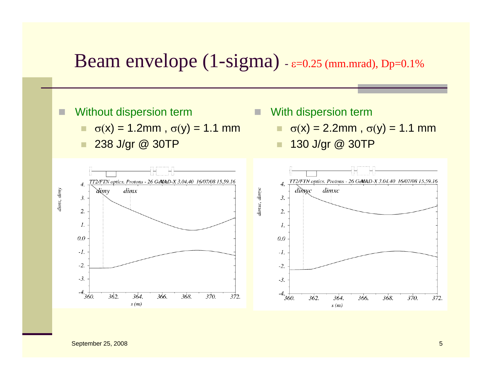#### Beam envelope  $(1-sigma)$  -  $\varepsilon$ =0.25 (mm.mrad), Dp=0.1%

Without dispersion term

- ٠ σ(x) = 1.2mm , σ(y) = 1.1 mm
- 238 J/gr @ 30TP

п With dispersion term

- $\mathbf{u}$  . σ(x) = 2.2mm , σ(y) = 1.1 mm
- 130 J/gr @ 30TP

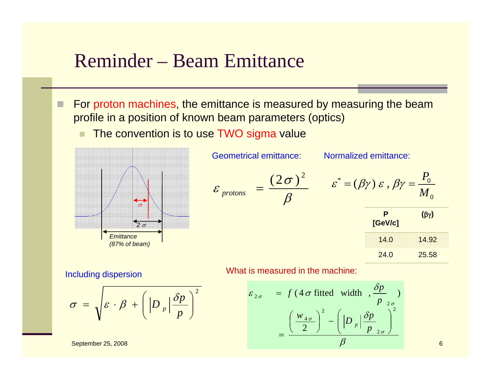#### Reminder – Beam Emittance

П For proton machines, the emittance is measured by measuring the beam profile in a position of known beam parameters (optics)

The convention is to use TWO sigma value



Geometrical emittance: Normalized emittance:

$$
\varepsilon_{\text{protons}} = \frac{(2\sigma)^2}{\beta}
$$

$$
\varepsilon^* = (\beta \gamma) \varepsilon, \, \beta \gamma = \frac{P_0}{M_0}
$$

| Р<br>[GeV/c] | $(\beta \gamma)$ |  |  |
|--------------|------------------|--|--|
| 14.0         | 14.92            |  |  |
| 24.0         | 25.58            |  |  |

$$
\sigma = \sqrt{\varepsilon \cdot \beta + \left( |D_p| \frac{\delta p}{p} \right)^2}
$$

September 25, 2008

Including dispersion What is measured in the machine:

$$
\varepsilon_{2\sigma} = f(4\sigma \text{ fitted width } , \frac{\delta p}{p_{2\sigma}})
$$

$$
= \frac{\left(\frac{w_{4\sigma}}{2}\right)^2 - \left(|D_p| \frac{\delta p}{p_{2\sigma}}\right)^2}{\beta}
$$

6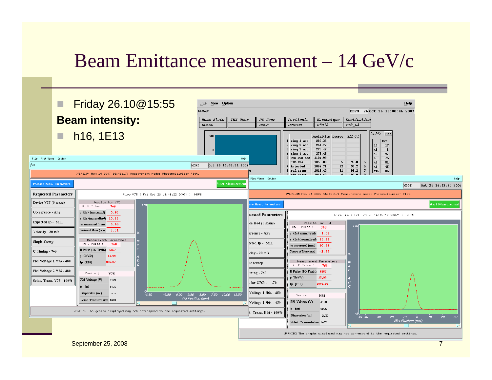### Beam Emittance measurement – 14 GeV/c

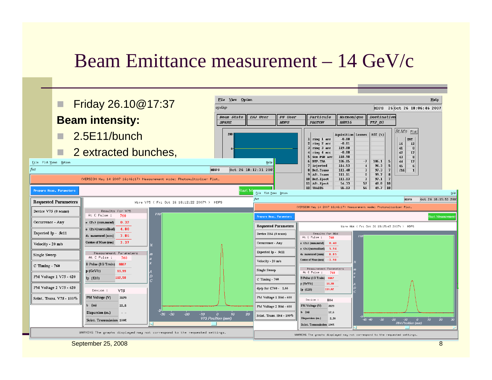## Beam Emittance measurement – 14 GeV/c

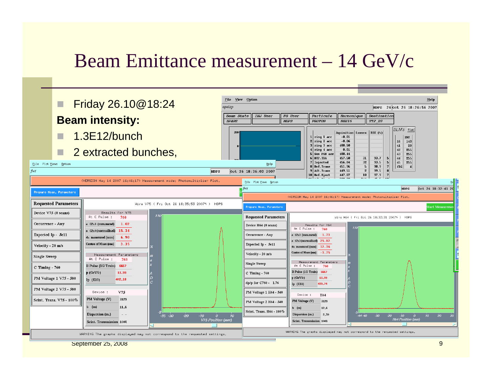## Beam Emittance measurement – 14 GeV/c

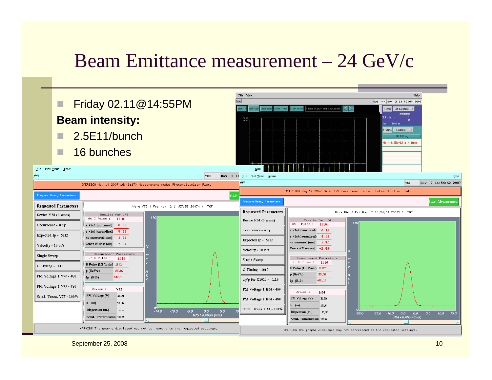## Beam Emittance measurement – 24 GeV/c

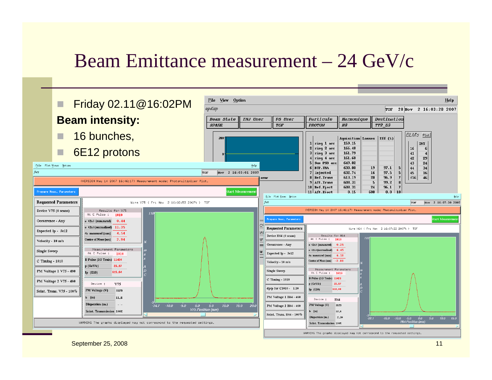### Beam Emittance measurement – 24 GeV/c

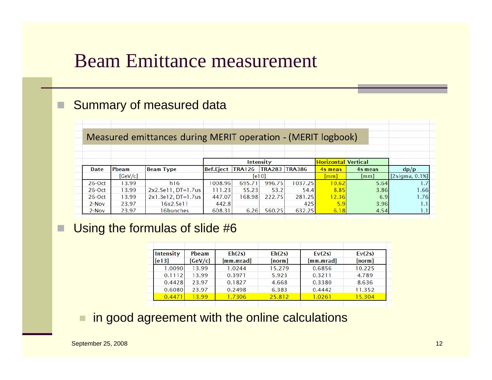#### Beam Emittance measurement

#### Summary of measured data

#### Measured emittances during MERIT operation - (MERIT logbook)

|             |         |                      |                  | Intensity |                      | <b>Horizontal Vertical</b> |         |         |                      |  |
|-------------|---------|----------------------|------------------|-----------|----------------------|----------------------------|---------|---------|----------------------|--|
| <b>Date</b> | Pbeam   | <b>Beam Type</b>     | Bef.Eject TRA126 |           | <b>TRA283 TRA386</b> |                            | 4s meas | 4s meas | dp/p                 |  |
|             | [GeV/c] |                      |                  |           | [e]0]                |                            | [mm]    | [mm]    | $[2$ sigma, $0.1\%]$ |  |
| $26$ -Oct   | 13.99   | h16                  | 1008.96          | 695.71    | 996.75               | 1037.25                    | 10.62   | 5.64    | $\mathsf{L}$         |  |
| $26-Oct$    | 13.99   | $2x2.5e11, DT=1.7us$ | 111.23           | 55.23     | 53.2                 | 54.4                       | 8.85    | 3.86    | 1.66                 |  |
| $26$ -Oct   | 13.99   | $2x1.3e12, DT=1.7us$ | 447.07           | 168.98    | 222.75               | 281.25                     | 12.36   | 6.9     | 1.76                 |  |
| $2-Nov$     | 23.97   | 16x2.5e11            | 442.8            |           |                      | 425                        | 5.9     | 3.96    | 1.1                  |  |
| $2-Nov$     | 23.97   | 16bunches            | 608.31           | 6.26      | 560.25               | 632.25                     | 6.18    | 4.54    | 1.1                  |  |

#### Using the formulas of slide #6

| Intensity | Pbeam   | Eh(2s)    | Eh(2s) | Ev(2s)    | Ev(2s) |
|-----------|---------|-----------|--------|-----------|--------|
| [e13]     | [GeV/c] | [mm.mrad] | [norm] | [mm.mrad] | [norm] |
| 1.0090    | 13.99   | 1.0244    | 15.279 | 0.6856    | 10.225 |
| 0.1112    | 13.99   | 0.3971    | 5.923  | 0.3211    | 4.789  |
| 0.4428    | 23.97   | 0.1827    | 4.668  | 0.3380    | 8.636  |
| 0.6080    | 23.97   | 0.2498    | 6.383  | 0.4442    | 11.352 |
| 0.4471    | 13.99   | 1.7306    | 25.812 | 1.0261    | 15.304 |
|           |         |           |        |           |        |

#### in good agreement with the online calculations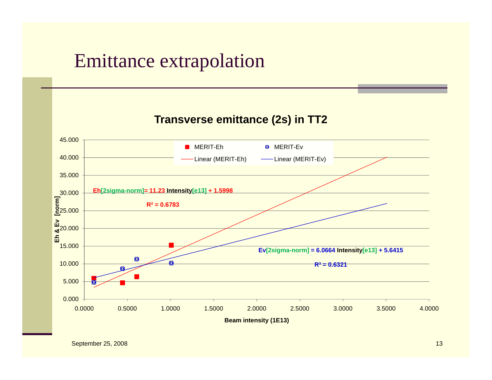### Emittance extrapolation

#### **Transverse emittance (2s) in TT2**